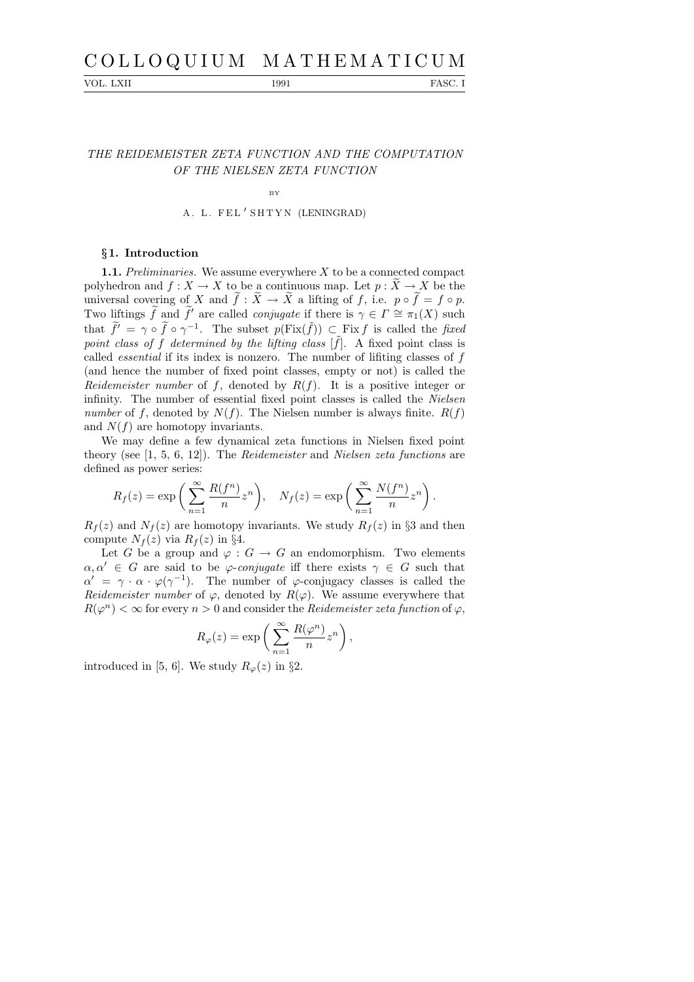# C O L L O Q U I U M M A T H E M A T I C U M

VOL. LXII 1991 PASC. I

## THE REIDEMEISTER ZETA FUNCTION AND THE COMPUTATION OF THE NIELSEN ZETA FUNCTION

BY

A. L. FEL'SHTYN (LENINGRAD)

### §1. Introduction

**1.1.** Preliminaries. We assume everywhere  $X$  to be a connected compact polyhedron and  $f: X \to X$  to be a continuous map. Let  $p: X \to X$  be the universal covering of X and  $f: X \to X$  a lifting of f, i.e.  $p \circ f = f \circ p$ . Two liftings  $\widetilde{f}$  and  $\widetilde{f}'$  are called *conjugate* if there is  $\gamma \in \Gamma \cong \pi_1(X)$  such that  $\tilde{f}' = \gamma \circ \tilde{f} \circ \gamma^{-1}$ . The subset  $p(Fix(\tilde{f})) \subset Fix f$  is called the fixed point class of f determined by the lifting class  $[\tilde{f}]$ . A fixed point class is called *essential* if its index is nonzero. The number of lifiting classes of  $f$ (and hence the number of fixed point classes, empty or not) is called the Reidemeister number of f, denoted by  $R(f)$ . It is a positive integer or infinity. The number of essential fixed point classes is called the Nielsen number of f, denoted by  $N(f)$ . The Nielsen number is always finite.  $R(f)$ and  $N(f)$  are homotopy invariants.

We may define a few dynamical zeta functions in Nielsen fixed point theory (see [1, 5, 6, 12]). The Reidemeister and Nielsen zeta functions are defined as power series:

$$
R_f(z) = \exp\left(\sum_{n=1}^{\infty} \frac{R(f^n)}{n} z^n\right), \quad N_f(z) = \exp\left(\sum_{n=1}^{\infty} \frac{N(f^n)}{n} z^n\right).
$$

 $R_f(z)$  and  $N_f(z)$  are homotopy invariants. We study  $R_f(z)$  in §3 and then compute  $N_f(z)$  via  $R_f(z)$  in §4.

Let G be a group and  $\varphi : G \to G$  an endomorphism. Two elements  $\alpha, \alpha' \in G$  are said to be  $\varphi$ -conjugate iff there exists  $\gamma \in G$  such that  $\alpha' = \gamma \cdot \alpha \cdot \varphi(\gamma^{-1})$ . The number of  $\varphi$ -conjugacy classes is called the Reidemeister number of  $\varphi$ , denoted by  $R(\varphi)$ . We assume everywhere that  $R(\varphi^n) < \infty$  for every  $n > 0$  and consider the *Reidemeister zeta function* of  $\varphi$ ,

$$
R_{\varphi}(z) = \exp\left(\sum_{n=1}^{\infty} \frac{R(\varphi^n)}{n} z^n\right),\,
$$

introduced in [5, 6]. We study  $R_{\varphi}(z)$  in §2.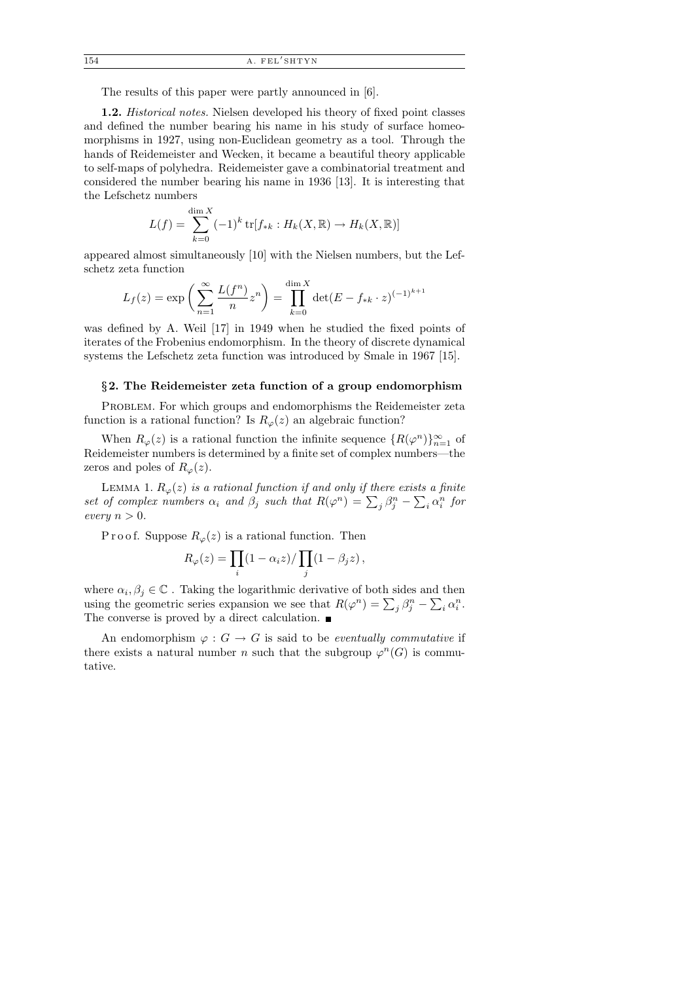The results of this paper were partly announced in [6].

1.2. Historical notes. Nielsen developed his theory of fixed point classes and defined the number bearing his name in his study of surface homeomorphisms in 1927, using non-Euclidean geometry as a tool. Through the hands of Reidemeister and Wecken, it became a beautiful theory applicable to self-maps of polyhedra. Reidemeister gave a combinatorial treatment and considered the number bearing his name in 1936 [13]. It is interesting that the Lefschetz numbers

$$
L(f) = \sum_{k=0}^{\dim X} (-1)^k \text{tr}[f_{*k} : H_k(X, \mathbb{R}) \to H_k(X, \mathbb{R})]
$$

appeared almost simultaneously [10] with the Nielsen numbers, but the Lefschetz zeta function

$$
L_f(z) = \exp\left(\sum_{n=1}^{\infty} \frac{L(f^n)}{n} z^n\right) = \prod_{k=0}^{\dim X} \det(E - f_{*k} \cdot z)^{(-1)^{k+1}}
$$

was defined by A. Weil [17] in 1949 when he studied the fixed points of iterates of the Frobenius endomorphism. In the theory of discrete dynamical systems the Lefschetz zeta function was introduced by Smale in 1967 [15].

#### §2. The Reidemeister zeta function of a group endomorphism

PROBLEM. For which groups and endomorphisms the Reidemeister zeta function is a rational function? Is  $R_{\varphi}(z)$  an algebraic function?

When  $R_{\varphi}(z)$  is a rational function the infinite sequence  $\{R(\varphi^n)\}_{n=1}^{\infty}$  of Reidemeister numbers is determined by a finite set of complex numbers—the zeros and poles of  $R_{\varphi}(z)$ .

LEMMA 1.  $R_{\varphi}(z)$  is a rational function if and only if there exists a finite set of complex numbers  $\alpha_i$  and  $\beta_j$  such that  $R(\varphi^n) = \sum_j \beta_j^n - \sum_i \alpha_i^n$  for every  $n > 0$ .

P r o o f. Suppose  $R_{\varphi}(z)$  is a rational function. Then

$$
R_{\varphi}(z) = \prod_{i} (1 - \alpha_i z) / \prod_{j} (1 - \beta_j z),
$$

where  $\alpha_i, \beta_j \in \mathbb{C}$ . Taking the logarithmic derivative of both sides and then using the geometric series expansion we see that  $R(\varphi^n) = \sum_j \beta_j^n - \sum_i \alpha_i^n$ . The converse is proved by a direct calculation.  $\blacksquare$ 

An endomorphism  $\varphi : G \to G$  is said to be *eventually commutative* if there exists a natural number n such that the subgroup  $\varphi^{n}(G)$  is commutative.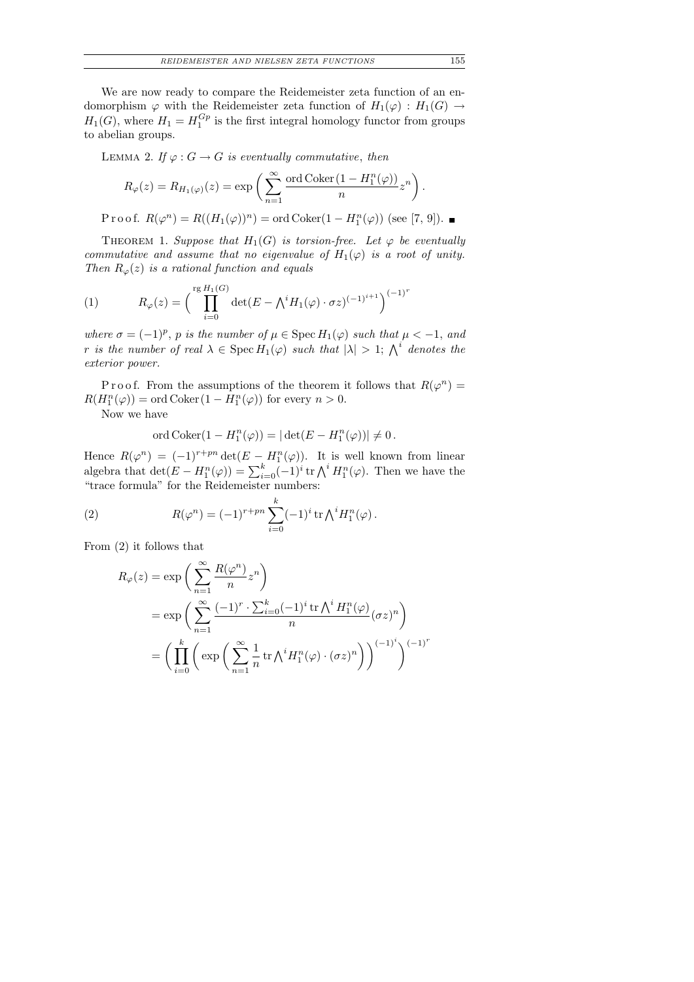We are now ready to compare the Reidemeister zeta function of an endomorphism  $\varphi$  with the Reidemeister zeta function of  $H_1(\varphi) : H_1(G) \to$  $H_1(G)$ , where  $H_1 = H_1^{Gp}$  $i_1^{G_p}$  is the first integral homology functor from groups to abelian groups.

LEMMA 2. If  $\varphi : G \to G$  is eventually commutative, then

$$
R_{\varphi}(z) = R_{H_1(\varphi)}(z) = \exp\left(\sum_{n=1}^{\infty} \frac{\text{ord Coker}(1 - H_1^n(\varphi))}{n} z^n\right).
$$

Proof.  $R(\varphi^n) = R((H_1(\varphi))^n) = \text{ord} \operatorname{Coker}(1 - H_1^n(\varphi))$  (see [7, 9]).

THEOREM 1. Suppose that  $H_1(G)$  is torsion-free. Let  $\varphi$  be eventually commutative and assume that no eigenvalue of  $H_1(\varphi)$  is a root of unity. Then  $R_{\varphi}(z)$  is a rational function and equals

(1) 
$$
R_{\varphi}(z) = \left(\prod_{i=0}^{\text{rg }H_1(G)} \det(E - \bigwedge^i H_1(\varphi) \cdot \sigma z)^{(-1)^{i+1}}\right)^{(-1)^r}
$$

where  $\sigma = (-1)^p$ , p is the number of  $\mu \in \text{Spec } H_1(\varphi)$  such that  $\mu < -1$ , and r is the number of real  $\lambda \in \mathrm{Spec}\, H_1(\varphi)$  such that  $|\lambda| > 1$ ;  $\bigwedge^i$  denotes the exterior power.

Proof. From the assumptions of the theorem it follows that  $R(\varphi^n) =$  $R(H_1^n(\varphi)) = \text{ord} \, \text{Coker} \, (1 - H_1^n(\varphi)) \text{ for every } n > 0.$ 

Now we have

$$
\text{ord Coker}(1 - H_1^n(\varphi)) = |\det(E - H_1^n(\varphi))| \neq 0.
$$

Hence  $R(\varphi^n) = (-1)^{r+pn} \det(E - H_1^n(\varphi))$ . It is well known from linear algebra that  $\det(E - H_1^n(\varphi)) = \sum_{i=0}^k (-1)^i \operatorname{tr} \bigwedge^i H_1^n(\varphi)$ . Then we have the "trace formula" for the Reidemeister numbers:

(2) 
$$
R(\varphi^n) = (-1)^{r+pn} \sum_{i=0}^k (-1)^i \operatorname{tr} \bigwedge^i H_1^n(\varphi).
$$

From (2) it follows that

$$
R_{\varphi}(z) = \exp\left(\sum_{n=1}^{\infty} \frac{R(\varphi^n)}{n} z^n\right)
$$
  
= 
$$
\exp\left(\sum_{n=1}^{\infty} \frac{(-1)^r \cdot \sum_{i=0}^k (-1)^i \operatorname{tr} \bigwedge^i H_1^n(\varphi)}{n} (\sigma z)^n\right)
$$
  
= 
$$
\left(\prod_{i=0}^k \left(\exp\left(\sum_{n=1}^{\infty} \frac{1}{n} \operatorname{tr} \bigwedge^i H_1^n(\varphi) \cdot (\sigma z)^n\right)\right)^{(-1)^i}\right)^{(-1)^r}
$$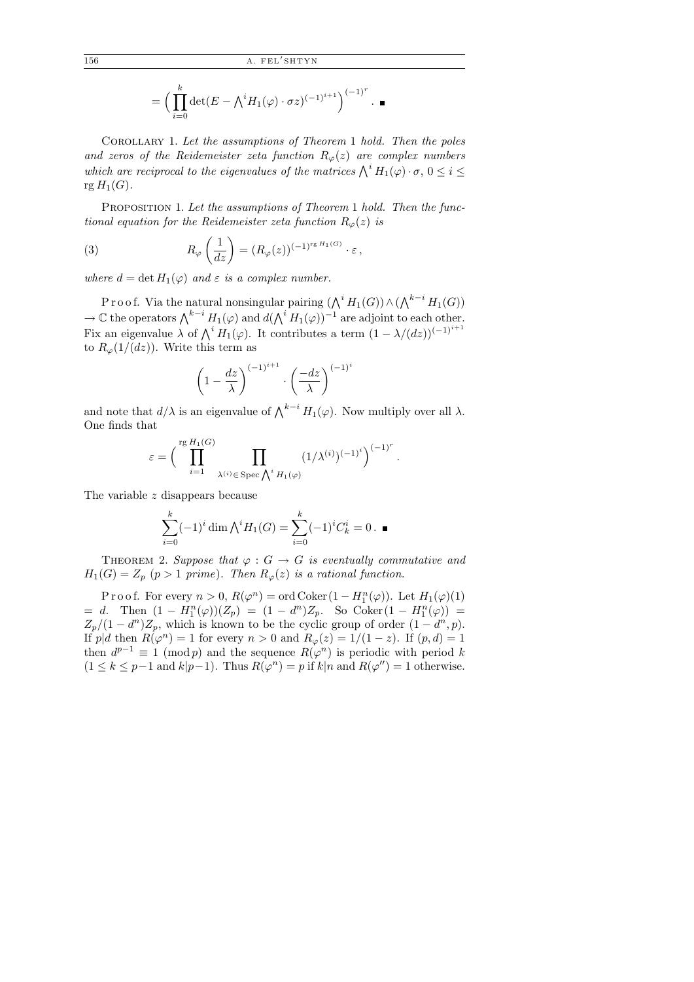$$
= \Big(\prod_{i=0}^k \det(E - \bigwedge^i H_1(\varphi) \cdot \sigma z)^{(-1)^{i+1}}\Big)^{(-1)^r} . \blacksquare
$$

Corollary 1. Let the assumptions of Theorem 1 hold. Then the poles and zeros of the Reidemeister zeta function  $R_{\varphi}(z)$  are complex numbers which are reciprocal to the eigenvalues of the matrices  $\bigwedge^i H_1(\varphi) \cdot \sigma$ ,  $0 \leq i \leq$  $\operatorname{rg} H_1(G)$ .

PROPOSITION 1. Let the assumptions of Theorem 1 hold. Then the functional equation for the Reidemeister zeta function  $R_{\varphi}(z)$  is

(3) 
$$
R_{\varphi}\left(\frac{1}{dz}\right) = (R_{\varphi}(z))^{(-1)^{r g H_1(G)}} \cdot \varepsilon,
$$

where  $d = \det H_1(\varphi)$  and  $\varepsilon$  is a complex number.

P r o o f. Via the natural nonsingular pairing  $(\bigwedge^i H_1(G)) \wedge (\bigwedge^{k-i} H_1(G))$  $\to \mathbb{C}$  the operators  $\bigwedge^{k-i} H_1(\varphi)$  and  $d(\bigwedge^i H_1(\varphi))^{-1}$  are adjoint to each other. Fix an eigenvalue  $\lambda$  of  $\bigwedge^i H_1(\varphi)$ . It contributes a term  $(1 - \lambda/(dz))^{(-1)^{i+1}}$ to  $R_{\varphi}(1/(dz))$ . Write this term as

$$
\left(1 - \frac{dz}{\lambda}\right)^{(-1)^{i+1}} \cdot \left(\frac{-dz}{\lambda}\right)^{(-1)^i}
$$

and note that  $d/\lambda$  is an eigenvalue of  $\bigwedge^{k-i} H_1(\varphi)$ . Now multiply over all  $\lambda$ . One finds that

$$
\varepsilon = \Big(\prod_{i=1}^{\mathrm{rg}\,H_1(G)}\prod_{\lambda^{(i)}\in\,\mathrm{Spec}\,\bigwedge^i H_1(\varphi)}(1/\lambda^{(i)})^{(-1)^i}\Big)^{(-1)^r}\,.
$$

The variable z disappears because

$$
\sum_{i=0}^{k} (-1)^{i} \dim \bigwedge^{i} H_{1}(G) = \sum_{i=0}^{k} (-1)^{i} C_{k}^{i} = 0. \blacksquare
$$

THEOREM 2. Suppose that  $\varphi : G \to G$  is eventually commutative and  $H_1(G) = Z_p$   $(p > 1 \text{ prime}).$  Then  $R_{\varphi}(z)$  is a rational function.

Proof. For every  $n > 0$ ,  $R(\varphi^n) = \text{ord} \,\text{Coker} \left(1 - H_1^n(\varphi)\right)$ . Let  $H_1(\varphi)(1)$ = d. Then  $(1 - H_1^n(\varphi))(Z_p) = (1 - d^n)Z_p$ . So Coker $(1 - H_1^n(\varphi))$  =  $Z_p/(1-d^n)Z_p$ , which is known to be the cyclic group of order  $(1-d^n, p)$ . If  $p|d$  then  $R(\varphi^n) = 1$  for every  $n > 0$  and  $R_\varphi(z) = 1/(1-z)$ . If  $(p, d) = 1$ then  $d^{p-1} \equiv 1 \pmod{p}$  and the sequence  $R(\varphi^n)$  is periodic with period k  $(1 \leq k \leq p-1 \text{ and } k|p-1)$ . Thus  $R(\varphi^n) = p$  if  $k|n$  and  $R(\varphi^n) = 1$  otherwise.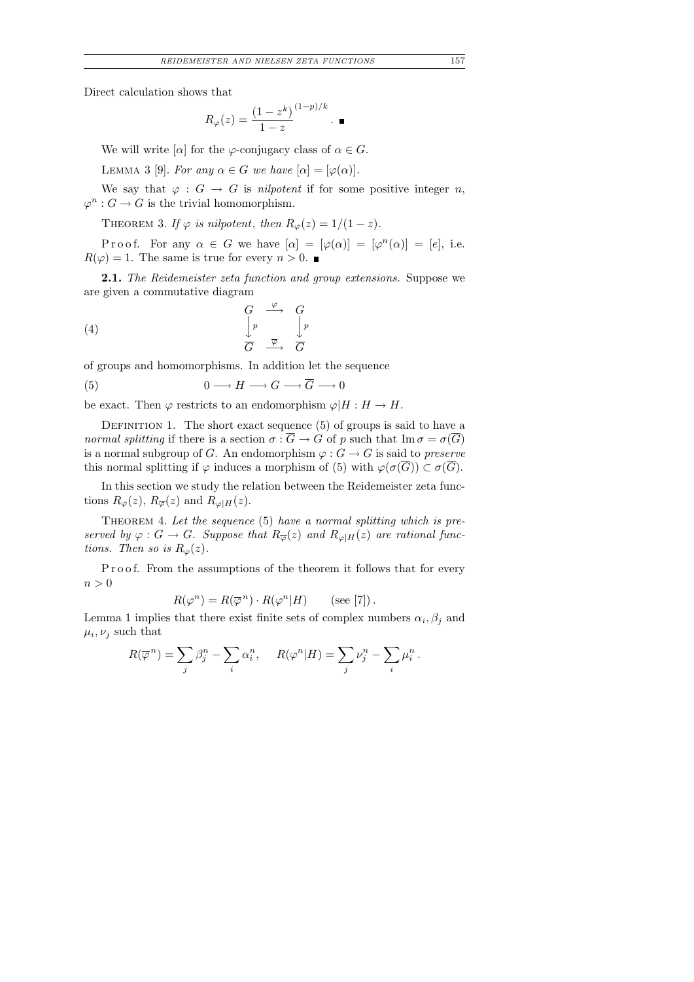Direct calculation shows that

$$
R_{\varphi}(z) = \frac{(1 - z^k)}{1 - z}^{(1 - p)/k} \cdot \blacksquare
$$

We will write  $[\alpha]$  for the  $\varphi$ -conjugacy class of  $\alpha \in G$ .

LEMMA 3 [9]. For any  $\alpha \in G$  we have  $[\alpha] = [\varphi(\alpha)].$ 

We say that  $\varphi : G \to G$  is *nilpotent* if for some positive integer *n*,  $\varphi^n : G \to G$  is the trivial homomorphism.

THEOREM 3. If  $\varphi$  is nilpotent, then  $R_{\varphi}(z) = 1/(1-z)$ .

P r o o f. For any  $\alpha \in G$  we have  $[\alpha] = [\varphi(\alpha)] = [\varphi^n(\alpha)] = [e]$ , i.e.  $R(\varphi) = 1$ . The same is true for every  $n > 0$ .

**2.1.** The Reidemeister zeta function and group extensions. Suppose we are given a commutative diagram

$$
\begin{array}{ccc}\nG & \xrightarrow{\varphi} & G \\
\downarrow{p} & & \downarrow{p} \\
\hline\nG & \xrightarrow{\overline{\varphi}} & \overline{G}\n\end{array}
$$

of groups and homomorphisms. In addition let the sequence

$$
(5) \t 0 \longrightarrow H \longrightarrow G \longrightarrow \overline{G} \longrightarrow 0
$$

be exact. Then  $\varphi$  restricts to an endomorphism  $\varphi|H : H \to H$ .

DEFINITION 1. The short exact sequence  $(5)$  of groups is said to have a normal splitting if there is a section  $\sigma : \overline{G} \to G$  of p such that  $\text{Im}\,\sigma = \sigma(\overline{G})$ is a normal subgroup of G. An endomorphism  $\varphi : G \to G$  is said to preserve this normal splitting if  $\varphi$  induces a morphism of (5) with  $\varphi(\sigma(G)) \subset \sigma(G)$ .

In this section we study the relation between the Reidemeister zeta functions  $R_{\varphi}(z)$ ,  $R_{\overline{\varphi}}(z)$  and  $R_{\varphi|H}(z)$ .

THEOREM 4. Let the sequence  $(5)$  have a normal splitting which is preserved by  $\varphi : G \to G$ . Suppose that  $R_{\overline{\varphi}}(z)$  and  $R_{\varphi|H}(z)$  are rational functions. Then so is  $R_{\varphi}(z)$ .

Proof. From the assumptions of the theorem it follows that for every  $n > 0$ 

$$
R(\varphi^n) = R(\overline{\varphi}^n) \cdot R(\varphi^n|H) \qquad \text{(see [7])}.
$$

Lemma 1 implies that there exist finite sets of complex numbers  $\alpha_i, \beta_j$  and  $\mu_i, \nu_j$  such that

$$
R(\overline{\varphi}^n) = \sum_j \beta_j^n - \sum_i \alpha_i^n, \quad R(\varphi^n|H) = \sum_j \nu_j^n - \sum_i \mu_i^n.
$$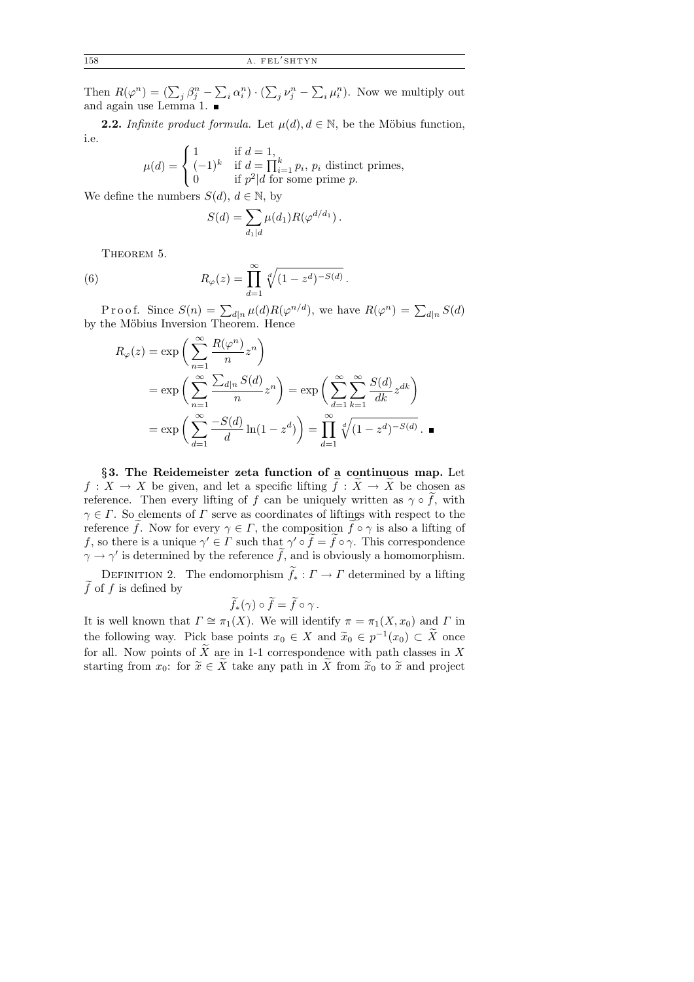Then  $R(\varphi^n) = (\sum_j \beta_j^n - \sum_i \alpha_i^n) \cdot (\sum_j \nu_j^n - \sum_i \mu_i^n)$ . Now we multiply out and again use Lemma 1.

**2.2.** Infinite product formula. Let  $\mu(d), d \in \mathbb{N}$ , be the Möbius function, i.e.

$$
\mu(d) = \begin{cases} 1 & \text{if } d = 1, \\ (-1)^k & \text{if } d = \prod_{i=1}^k p_i, \ p_i \text{ distinct primes,} \\ 0 & \text{if } p^2 | d \text{ for some prime } p. \end{cases}
$$

We define the numbers  $S(d)$ ,  $d \in \mathbb{N}$ , by

$$
S(d) = \sum_{d_1|d} \mu(d_1) R(\varphi^{d/d_1}).
$$

THEOREM 5.

(6) 
$$
R_{\varphi}(z) = \prod_{d=1}^{\infty} \sqrt[d]{(1 - z^d)^{-S(d)}}
$$

Proof. Since  $S(n) = \sum_{d|n} \mu(d) R(\varphi^{n/d})$ , we have  $R(\varphi^n) = \sum_{d|n} S(d)$ by the Möbius Inversion Theorem. Hence

.

$$
R_{\varphi}(z) = \exp\left(\sum_{n=1}^{\infty} \frac{R(\varphi^n)}{n} z^n\right)
$$
  
= 
$$
\exp\left(\sum_{n=1}^{\infty} \frac{\sum_{d|n} S(d)}{n} z^n\right) = \exp\left(\sum_{d=1}^{\infty} \sum_{k=1}^{\infty} \frac{S(d)}{dk} z^{dk}\right)
$$
  
= 
$$
\exp\left(\sum_{d=1}^{\infty} \frac{-S(d)}{d} \ln(1 - z^d)\right) = \prod_{d=1}^{\infty} \sqrt[d]{(1 - z^d)^{-S(d)}}.
$$

§3. The Reidemeister zeta function of a continuous map. Let  $f: X \to X$  be given, and let a specific lifting  $f: X \to X$  be chosen as reference. Then every lifting of f can be uniquely written as  $\gamma \circ f$ , with  $\gamma \in \Gamma$ . So elements of  $\Gamma$  serve as coordinates of liftings with respect to the reference f. Now for every  $\gamma \in \Gamma$ , the composition  $f \circ \gamma$  is also a lifting of f, so there is a unique  $\gamma' \in \Gamma$  such that  $\gamma' \circ f = f \circ \gamma$ . This correspondence  $\gamma \to \gamma'$  is determined by the reference  $\tilde{f}$ , and is obviously a homomorphism.

DEFINITION 2. The endomorphism  $\widetilde{f}_* : \Gamma \to \Gamma$  determined by a lifting  $f$  of  $f$  is defined by

$$
\widetilde{f}_*(\gamma) \circ \widetilde{f} = \widetilde{f} \circ \gamma.
$$

It is well known that  $\Gamma \cong \pi_1(X)$ . We will identify  $\pi = \pi_1(X, x_0)$  and  $\Gamma$  in the following way. Pick base points  $x_0 \in X$  and  $\tilde{x}_0 \in p^{-1}(x_0) \subset \tilde{X}$  once for all. Now points of  $\widetilde{X}$  are in 1-1 correspondence with path classes in X starting from  $x_0$ : for  $\widetilde{x} \in \widetilde{X}$  take any path in  $\widetilde{X}$  from  $\widetilde{x}_0$  to  $\widetilde{x}$  and project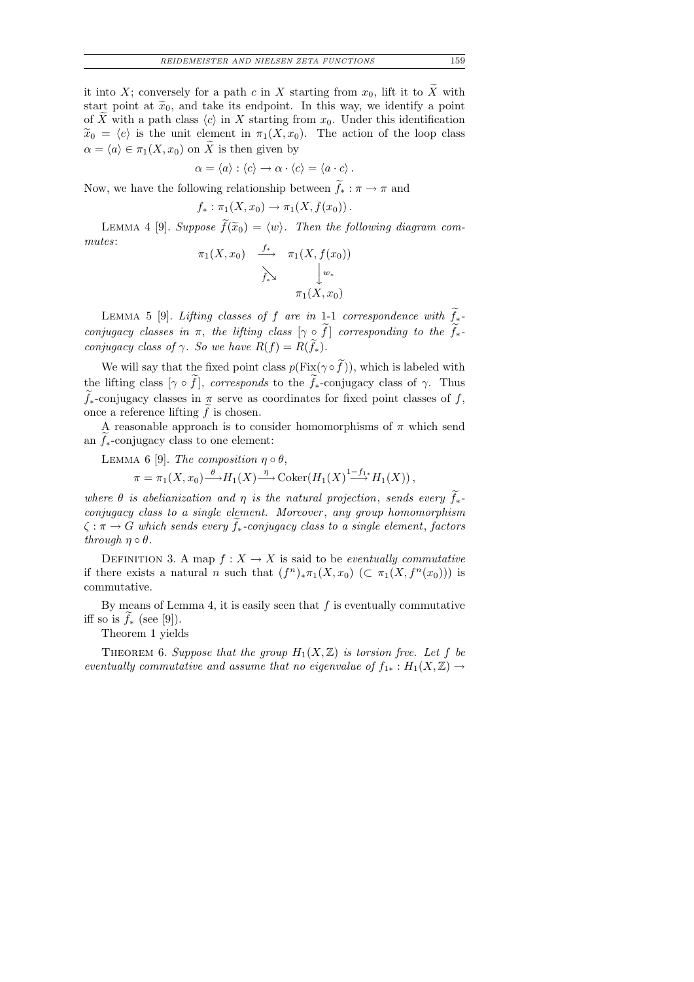it into X; conversely for a path c in X starting from  $x_0$ , lift it to  $\widetilde{X}$  with start point at  $\tilde{x}_0$ , and take its endpoint. In this way, we identify a point of X with a path class  $\langle c \rangle$  in X starting from  $x_0$ . Under this identification  $\tilde{x}_0 = \langle e \rangle$  is the unit element in  $\pi_1(X, x_0)$ . The action of the loop class  $\alpha = \langle a \rangle \in \pi_1(X, x_0)$  on  $\widetilde{X}$  is then given by

$$
\alpha = \langle a \rangle : \langle c \rangle \to \alpha \cdot \langle c \rangle = \langle a \cdot c \rangle.
$$

Now, we have the following relationship between  $f_* : \pi \to \pi$  and

$$
f_* : \pi_1(X, x_0) \to \pi_1(X, f(x_0)).
$$

LEMMA 4 [9]. Suppose  $\widetilde{f}(\widetilde{x}_0) = \langle w \rangle$ . Then the following diagram commutes:

$$
\pi_1(X, x_0) \xrightarrow{f_*} \pi_1(X, f(x_0))
$$
\n
$$
\sum_{f_* \searrow} \qquad \downarrow w_*
$$
\n
$$
\pi_1(X, x_0)
$$

LEMMA 5 [9]. Lifting classes of f are in 1-1 correspondence with  $\widetilde{f}_*$ conjugacy classes in  $\pi$ , the lifting class  $[\gamma \circ f]$  corresponding to the  $f_*$ conjugacy class of  $\gamma$ . So we have  $R(f) = R(f_*)$ .

We will say that the fixed point class  $p(\text{Fix}(\gamma \circ f))$ , which is labeled with the lifting class  $[\gamma \circ f]$ , corresponds to the  $f_*$ -conjugacy class of  $\gamma$ . Thus  $f_*$ -conjugacy classes in  $\pi$  serve as coordinates for fixed point classes of f, once a reference lifting  $f$  is chosen.

A reasonable approach is to consider homomorphisms of  $\pi$  which send an  $f_*$ -conjugacy class to one element:

LEMMA 6 [9]. The composition  $\eta \circ \theta$ ,

$$
\pi = \pi_1(X, x_0) \xrightarrow{\theta} H_1(X) \xrightarrow{\eta} \text{Coker}(H_1(X) \xrightarrow{1-f_1^*} H_1(X)),
$$

where  $\theta$  is abelianization and  $\eta$  is the natural projection, sends every  $f_*$ conjugacy class to a single element. Moreover, any group homomorphism  $\zeta: \pi \to G$  which sends every  $f_*$ -conjugacy class to a single element, factors through  $\eta \circ \theta$ .

DEFINITION 3. A map  $f: X \to X$  is said to be *eventually commutative* if there exists a natural n such that  $(f^n)_*\pi_1(X,x_0)$   $(\subset \pi_1(X, f^n(x_0)))$  is commutative.

By means of Lemma 4, it is easily seen that  $f$  is eventually commutative iff so is  $f_*$  (see [9]).

Theorem 1 yields

THEOREM 6. Suppose that the group  $H_1(X,\mathbb{Z})$  is torsion free. Let f be eventually commutative and assume that no eigenvalue of  $f_{1*}: H_1(X,\mathbb{Z}) \to$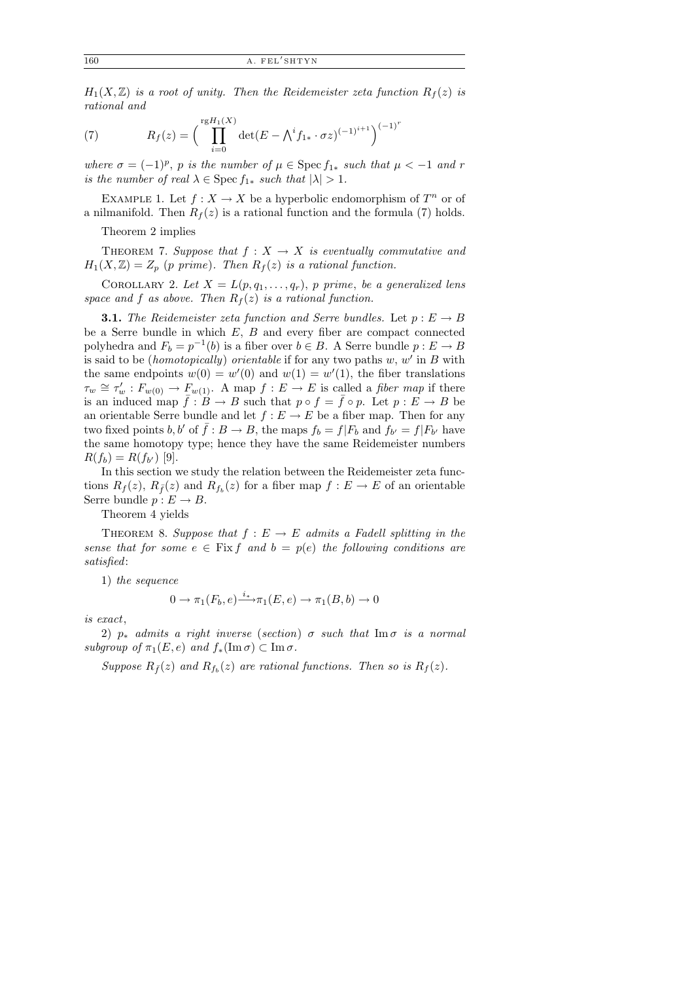$H_1(X,\mathbb{Z})$  is a root of unity. Then the Reidemeister zeta function  $R_f(z)$  is rational and

(7) 
$$
R_f(z) = \left(\prod_{i=0}^{\text{rg}H_1(X)} \det(E - \bigwedge^i f_{1*} \cdot \sigma z)^{(-1)^{i+1}}\right)^{(-1)^r}
$$

where  $\sigma = (-1)^p$ , p is the number of  $\mu \in \text{Spec } f_{1*}$  such that  $\mu < -1$  and r is the number of real  $\lambda \in \text{Spec } f_{1*}$  such that  $|\lambda| > 1$ .

EXAMPLE 1. Let  $f: X \to X$  be a hyperbolic endomorphism of  $T^n$  or of a nilmanifold. Then  $R_f(z)$  is a rational function and the formula (7) holds.

Theorem 2 implies

THEOREM 7. Suppose that  $f: X \rightarrow X$  is eventually commutative and  $H_1(X,\mathbb{Z})=Z_p$  (p prime). Then  $R_f(z)$  is a rational function.

COROLLARY 2. Let  $X = L(p, q_1, \ldots, q_r)$ , p prime, be a generalized lens space and f as above. Then  $R_f(z)$  is a rational function.

**3.1.** The Reidemeister zeta function and Serre bundles. Let  $p : E \to B$ be a Serre bundle in which  $E, B$  and every fiber are compact connected polyhedra and  $F_b = p^{-1}(b)$  is a fiber over  $b \in B$ . A Serre bundle  $p : E \to B$ is said to be *(homotopically) orientable* if for any two paths  $w, w'$  in  $B$  with the same endpoints  $w(0) = w'(0)$  and  $w(1) = w'(1)$ , the fiber translations  $\tau_w \cong \tau'_w : F_{w(0)} \to F_{w(1)}$ . A map  $f : E \to E$  is called a *fiber map* if there is an induced map  $f : B \to B$  such that  $p \circ f = \overline{f} \circ p$ . Let  $p : E \to B$  be an orientable Serre bundle and let  $f : E \to E$  be a fiber map. Then for any two fixed points b, b' of  $\bar{f} : B \to B$ , the maps  $f_b = f|F_b$  and  $f_{b'} = f|F_{b'}$  have the same homotopy type; hence they have the same Reidemeister numbers  $R(f_b) = R(f_{b'})$  [9].

In this section we study the relation between the Reidemeister zeta functions  $R_f(z)$ ,  $R_{\bar{f}}(z)$  and  $R_{f_b}(z)$  for a fiber map  $f: E \to E$  of an orientable Serre bundle  $p: E \to B$ .

Theorem 4 yields

THEOREM 8. Suppose that  $f : E \to E$  admits a Fadell splitting in the sense that for some  $e \in \text{Fix } f$  and  $b = p(e)$  the following conditions are satisfied:

1) the sequence

$$
0 \to \pi_1(F_b, e) \xrightarrow{i_*} \pi_1(E, e) \to \pi_1(B, b) \to 0
$$

is exact,

2)  $p_*$  admits a right inverse (section)  $\sigma$  such that Im  $\sigma$  is a normal subgroup of  $\pi_1(E, e)$  and  $f_*(\text{Im }\sigma) \subset \text{Im }\sigma$ .

Suppose  $R_{\bar{f}}(z)$  and  $R_{f_b}(z)$  are rational functions. Then so is  $R_f(z)$ .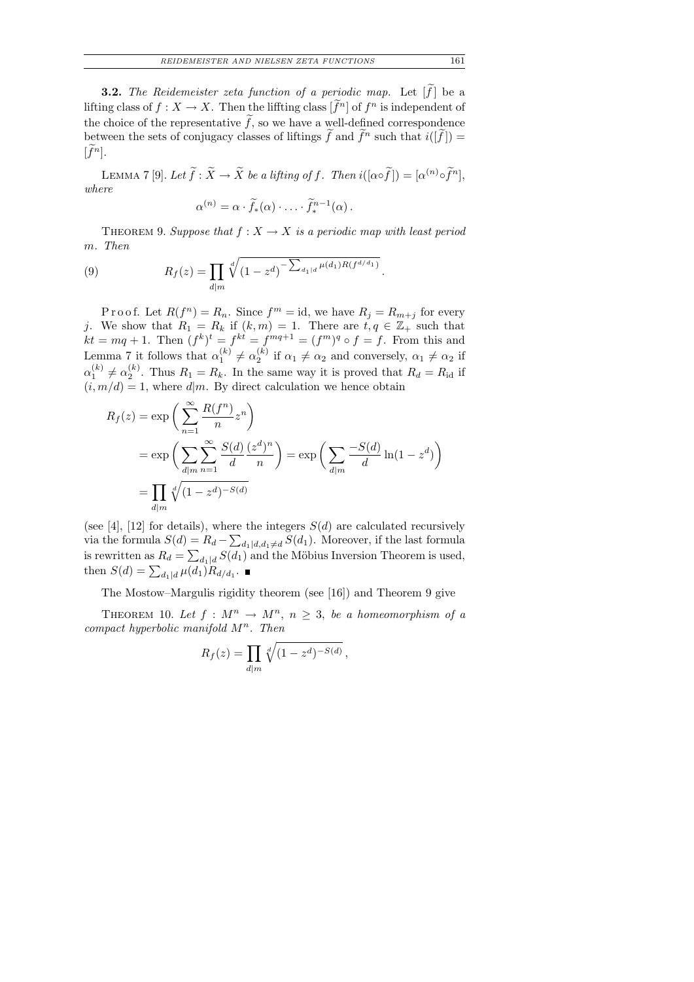**3.2.** The Reidemeister zeta function of a periodic map. Let  $[f]$  be a lifting class of  $f: X \to X$ . Then the lifting class  $[f^n]$  of  $f^n$  is independent of the choice of the representative f, so we have a well-defined correspondence between the sets of conjugacy classes of liftings  $\tilde{f}$  and  $\tilde{f}^n$  such that  $i([\tilde{f}]) = \tilde{f}^n$ .  $[f^n]$ .

LEMMA 7 [9]. Let  $\widetilde{f} : \widetilde{X} \to \widetilde{X}$  be a lifting of f. Then  $i([\alpha \circ \widetilde{f}]) = [\alpha^{(n)} \circ \widetilde{f}^n]$ , where

$$
\alpha^{(n)} = \alpha \cdot \widetilde{f}_*(\alpha) \cdot \ldots \cdot \widetilde{f}_*^{n-1}(\alpha).
$$

THEOREM 9. Suppose that  $f: X \to X$  is a periodic map with least period m. Then

(9) 
$$
R_f(z) = \prod_{d|m} \sqrt[d]{(1-z^d)}^{-\sum_{d_1|d} \mu(d_1)R(f^{d/d_1})}.
$$

P r o o f. Let  $R(f^n) = R_n$ . Since  $f^m = id$ , we have  $R_j = R_{m+j}$  for every j. We show that  $R_1 = R_k$  if  $(k, m) = 1$ . There are  $t, q \in \mathbb{Z}_+$  such that  $kt = mq + 1$ . Then  $(f^k)^t = f^{kt} = f^{mq+1} = (f^m)^q \circ f = f$ . From this and Lemma 7 it follows that  $\alpha_1^{(k)}$  $\binom{k}{1} \neq \alpha_2^{(k)}$  $\alpha_2^{(\kappa)}$  if  $\alpha_1 \neq \alpha_2$  and conversely,  $\alpha_1 \neq \alpha_2$  if  $\alpha_1^{(k)}$  $\binom{k}{1} \neq \alpha_2^{(k)}$  $2^{(k)}$ . Thus  $R_1 = R_k$ . In the same way it is proved that  $R_d = R_{\rm id}$  if  $(i, m/d) = 1$ , where  $d|m$ . By direct calculation we hence obtain

$$
R_f(z) = \exp\left(\sum_{n=1}^{\infty} \frac{R(f^n)}{n} z^n\right)
$$
  
= 
$$
\exp\left(\sum_{d|m} \sum_{n=1}^{\infty} \frac{S(d)}{d} \frac{(z^d)^n}{n}\right) = \exp\left(\sum_{d|m} \frac{-S(d)}{d} \ln(1 - z^d)\right)
$$
  
= 
$$
\prod_{d|m} \sqrt[d]{(1 - z^d)^{-S(d)}}
$$

(see [4], [12] for details), where the integers  $S(d)$  are calculated recursively via the formula  $S(d) = R_d - \sum_{d_1|d, d_1 \neq d} S(d_1)$ . Moreover, if the last formula is rewritten as  $R_d = \sum_{d_1|d} S(d_1)$  and the Möbius Inversion Theorem is used, then  $S(d) = \sum_{d_1|d} \mu(d_1) R_{d/d_1}$ .

The Mostow–Margulis rigidity theorem (see [16]) and Theorem 9 give

THEOREM 10. Let  $f: M^n \to M^n$ ,  $n \geq 3$ , be a homeomorphism of a compact hyperbolic manifold  $M^n$ . Then

$$
R_f(z) = \prod_{d|m} \sqrt[d]{(1 - z^d)^{-S(d)}},
$$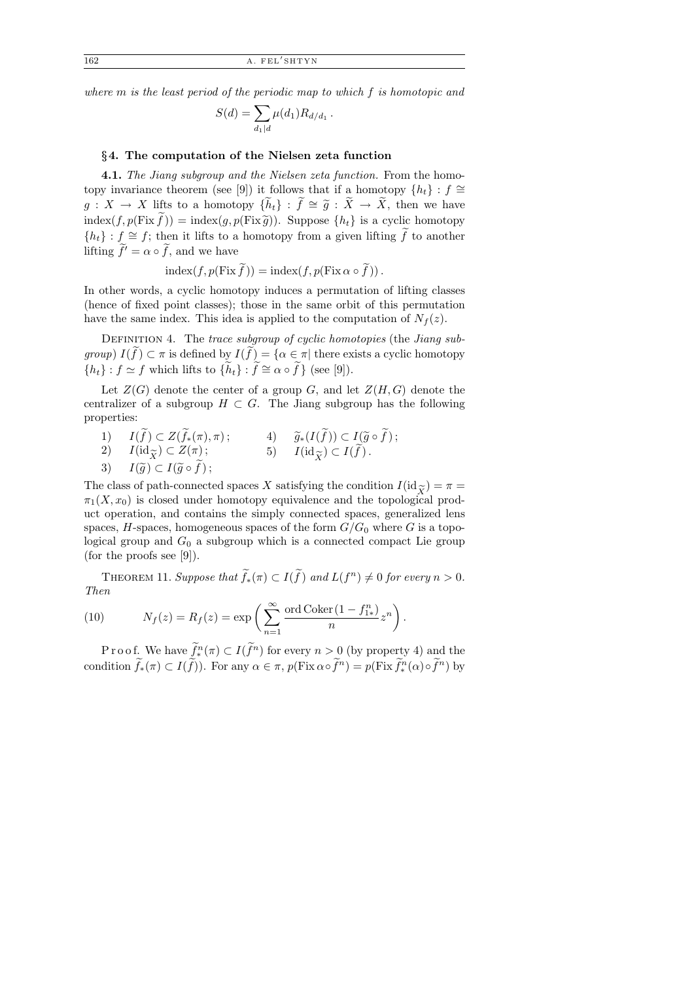where m is the least period of the periodic map to which f is homotopic and

$$
S(d) = \sum_{d_1|d} \mu(d_1) R_{d/d_1} \, .
$$

#### §4. The computation of the Nielsen zeta function

**4.1.** The Jiang subgroup and the Nielsen zeta function. From the homotopy invariance theorem (see [9]) it follows that if a homotopy  $\{h_t\}$ :  $f \cong$  $g: X \to X$  lifts to a homotopy  $\{\widetilde{h}_t\} : \widetilde{f} \cong \widetilde{g} : \widetilde{X} \to \widetilde{X}$ , then we have  $index(f, p(Fix f)) = index(g, p(Fix \widetilde{g}))$ . Suppose  $\{h_t\}$  is a cyclic homotopy  ${h_t}$ :  $f \cong f$ ; then it lifts to a homotopy from a given lifting  $\tilde{f}$  to another lifting  $\tilde{f}' = \alpha \circ \tilde{f}$ , and we have

$$
index(f, p(Fix \tilde{f})) = index(f, p(Fix \circ \tilde{f})).
$$

In other words, a cyclic homotopy induces a permutation of lifting classes (hence of fixed point classes); those in the same orbit of this permutation have the same index. This idea is applied to the computation of  $N_f(z)$ .

DEFINITION 4. The trace subgroup of cyclic homotopies (the Jiang subgroup)  $I(f) \subset \pi$  is defined by  $I(f) = {\alpha \in \pi | \text{ there exists a cyclic homotopy}}$  $\{h_t\}$ :  $f \simeq f$  which lifts to  $\{\widetilde{h}_t\}$ :  $\widetilde{f} \cong \alpha \circ \widetilde{f}\}$  (see [9]).

Let  $Z(G)$  denote the center of a group G, and let  $Z(H, G)$  denote the centralizer of a subgroup  $H \subset G$ . The Jiang subgroup has the following properties:

1)  $I(f) \subset Z(f_*(\pi), \pi);$ 1)  $I(f) \subset Z(f_*(\pi), \pi);$  4)  $\widetilde{g}_*(I(f)) \subset I(\widetilde{g} \circ f);$ <br>
2)  $I(\mathrm{id}_{\widetilde{X}}) \subset Z(\pi);$  5)  $I(\mathrm{id}_{\widetilde{X}}) \subset I(\widetilde{f}).$ <br>
3)  $I(\widetilde{a}) \subset I(\widetilde{a} \circ \widetilde{f}):$ 3)  $I(\widetilde{g}) \subset I(\widetilde{g} \circ f)$ ; 5)  $I(\mathrm{id}_{\widetilde{X}}) \subset I(f)$ .

The class of path-connected spaces X satisfying the condition  $I(\mathrm{id}_{\widetilde{X}}) = \pi = \pi_1(X, x_0)$  is closed under homotopy equivalence and the topological prod- $\pi_1(X, x_0)$  is closed under homotopy equivalence and the topological product operation, and contains the simply connected spaces, generalized lens spaces, H-spaces, homogeneous spaces of the form  $G/G_0$  where G is a topological group and  $G_0$  a subgroup which is a connected compact Lie group (for the proofs see [9]).

THEOREM 11. Suppose that  $\widetilde{f}_*(\pi) \subset I(\widetilde{f})$  and  $L(f^n) \neq 0$  for every  $n > 0$ . Then

(10) 
$$
N_f(z) = R_f(z) = \exp\left(\sum_{n=1}^{\infty} \frac{\text{ord Coker}(1 - f_{1*}^n)}{n} z^n\right).
$$

P r o o f. We have  $f^n_k(\pi) \subset I(f^n)$  for every  $n > 0$  (by property 4) and the condition  $\tilde{f}_*(\pi) \subset I(\tilde{f})$ ). For any  $\alpha \in \pi$ ,  $p(\text{Fix }\alpha \circ \tilde{f}^n) = p(\text{Fix }\tilde{f}^n_*(\alpha) \circ \tilde{f}^n)$  by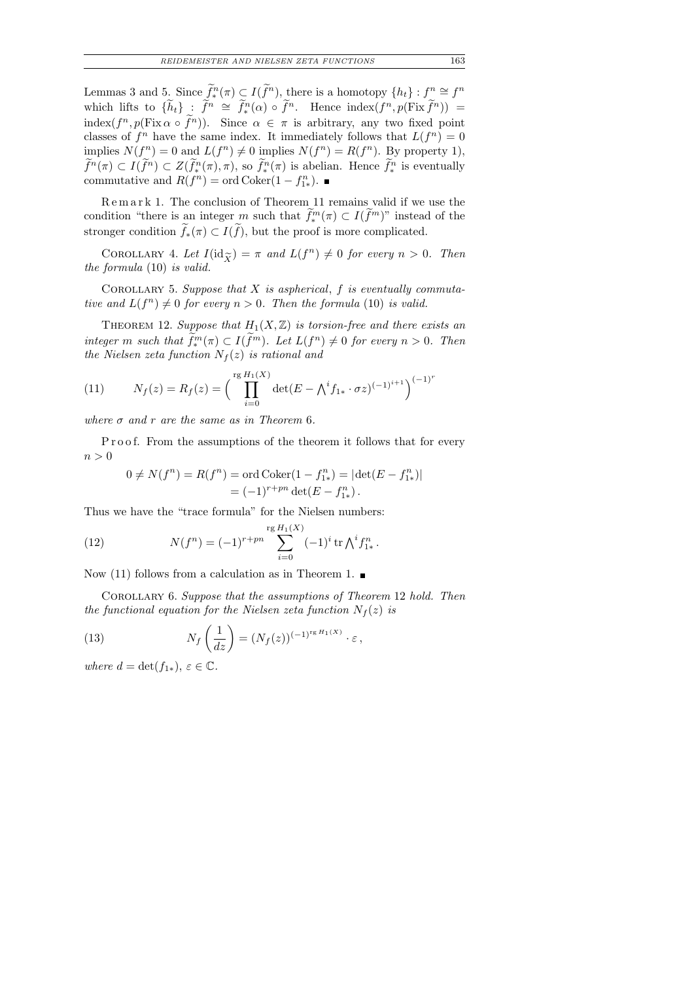Lemmas 3 and 5. Since  $\widetilde{f}^n_*(\pi) \subset I(\widetilde{f}^n)$ , there is a homotopy  $\{h_t\} : f^n \cong f^n$ which lifts to  $\{\widetilde{h}_t\}$  :  $\widetilde{f}^n \cong \widetilde{f}^n(\alpha) \circ \widetilde{f}^n$ . Hence  $\text{index}(f^n, p(\text{Fix } \widetilde{f}^n))$  = index $(f^n, p(\text{Fix }\alpha \circ f^n))$ . Since  $\alpha \in \pi$  is arbitrary, any two fixed point classes of  $f^n$  have the same index. It immediately follows that  $L(f^n) = 0$ implies  $N(f^n) = 0$  and  $L(f^n) \neq 0$  implies  $N(f^n) = R(f^n)$ . By property 1),  $f^n(\pi) \subset I(f^n) \subset Z(f^n_{*}(\pi), \pi)$ , so  $f^n_{*}(\pi)$  is abelian. Hence  $f^n_{*}$  is eventually commutative and  $R(f^n) = \text{ord} \, \text{Coker}(1 - f_{1*}^n)$ .

Remark 1. The conclusion of Theorem 11 remains valid if we use the condition "there is an integer m such that  $f^m_*(\pi) \subset I(f^m)$ " instead of the stronger condition  $f_*(\pi) \subset I(f)$ , but the proof is more complicated.

COROLLARY 4. Let  $I(\mathrm{id}_{\widetilde{X}}) = \pi$  and  $L(f^n) \neq 0$  for every  $n > 0$ . Then formula (10) is valid. the formula (10) is valid.

COROLLARY 5. Suppose that  $X$  is aspherical,  $f$  is eventually commutative and  $L(f^n) \neq 0$  for every  $n > 0$ . Then the formula (10) is valid.

THEOREM 12. Suppose that  $H_1(X,\mathbb{Z})$  is torsion-free and there exists an integer m such that  $f^m_*(\pi) \subset I(f^m)$ . Let  $L(f^n) \neq 0$  for every  $n > 0$ . Then the Nielsen zeta function  $N_f(z)$  is rational and

(11) 
$$
N_f(z) = R_f(z) = \left(\prod_{i=0}^{\text{rg }H_1(X)} \det(E - \bigwedge^i f_{1*} \cdot \sigma z)^{(-1)^{i+1}}\right)^{(-1)^r}
$$

where  $\sigma$  and  $r$  are the same as in Theorem 6.

Proof. From the assumptions of the theorem it follows that for every  $n > 0$ 

$$
0 \neq N(f^n) = R(f^n) = \text{ord} \cdot \text{Coker}(1 - f_{1*}^n) = |\text{det}(E - f_{1*}^n)|
$$
  
=  $(-1)^{r+pn} \text{det}(E - f_{1*}^n).$ 

Thus we have the "trace formula" for the Nielsen numbers:

(12) 
$$
N(f^n) = (-1)^{r+pn} \sum_{i=0}^{\text{rg } H_1(X)} (-1)^i \operatorname{tr} \bigwedge^i f_{1*}^n.
$$

Now (11) follows from a calculation as in Theorem 1.  $\blacksquare$ 

Corollary 6. Suppose that the assumptions of Theorem 12 hold. Then the functional equation for the Nielsen zeta function  $N_f(z)$  is

(13) 
$$
N_f\left(\frac{1}{dz}\right) = (N_f(z))^{(-1)^{rg H_1(X)}} \cdot \varepsilon,
$$

where  $d = \det(f_{1*}), \varepsilon \in \mathbb{C}$ .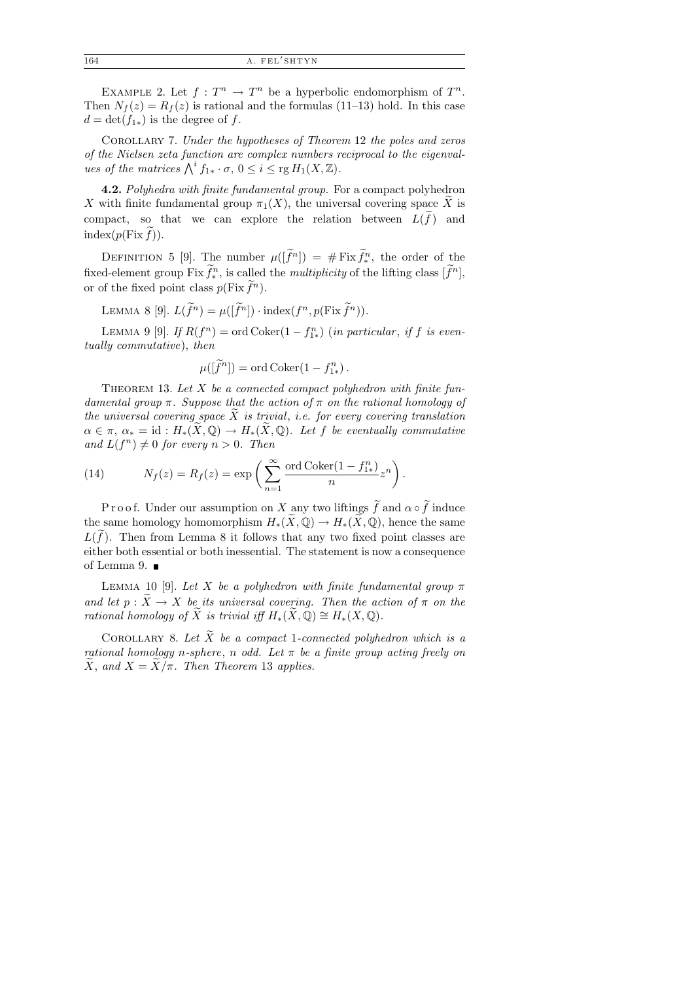EXAMPLE 2. Let  $f: T^n \to T^n$  be a hyperbolic endomorphism of  $T^n$ . Then  $N_f(z) = R_f(z)$  is rational and the formulas (11–13) hold. In this case  $d = \det(f_{1*})$  is the degree of f.

Corollary 7. Under the hypotheses of Theorem 12 the poles and zeros of the Nielsen zeta function are complex numbers reciprocal to the eigenvalues of the matrices  $\bigwedge^i f_{1*} \cdot \sigma$ ,  $0 \leq i \leq \text{rg } H_1(X, \mathbb{Z})$ .

4.2. Polyhedra with finite fundamental group. For a compact polyhedron X with finite fundamental group  $\pi_1(X)$ , the universal covering space X is compact, so that we can explore the relation between  $L(f)$  and  $index(p(Fix f)).$ 

DEFINITION 5 [9]. The number  $\mu([\tilde{f}^n]) = \# \text{Fix } \tilde{f}^n_*$ , the order of the fixed-element group  $\text{Fix } f_*^n$ , is called the *multiplicity* of the lifting class  $[f^n]$ , or of the fixed point class  $p(\text{Fix } f^n)$ .

LEMMA 8 [9].  $L(\tilde{f}^n) = \mu([\tilde{f}^n]) \cdot \text{index}(f^n, p(\text{Fix } \tilde{f}^n)).$ 

LEMMA 9 [9]. If  $R(f^n) = \text{ord} \, \text{Coker}(1 - f_{1*}^n)$  (in particular, if f is eventually commutative), then

$$
\mu([\widetilde{f}^n]) = \text{ord} \, \text{Coker}(1 - f_{1*}^n).
$$

THEOREM 13. Let  $X$  be a connected compact polyhedron with finite fundamental group  $\pi$ . Suppose that the action of  $\pi$  on the rational homology of the universal covering space  $\widetilde{X}$  is trivial, i.e. for every covering translation  $\alpha \in \pi$ ,  $\alpha_* = \text{id} : H_*(\widetilde{X}, \mathbb{Q}) \to H_*(\widetilde{X}, \mathbb{Q})$ . Let f be eventually commutative and  $L(f^n) \neq 0$  for every  $n > 0$ . Then

(14) 
$$
N_f(z) = R_f(z) = \exp\left(\sum_{n=1}^{\infty} \frac{\text{ord Coker}(1 - f_{1*}^n)}{n} z^n\right).
$$

P r o o f. Under our assumption on X any two liftings f and  $\alpha \circ f$  induce the same homology homomorphism  $H_*(X,\mathbb{Q}) \to H_*(X,\mathbb{Q})$ , hence the same  $L(f)$ . Then from Lemma 8 it follows that any two fixed point classes are either both essential or both inessential. The statement is now a consequence of Lemma 9.

LEMMA 10 [9]. Let X be a polyhedron with finite fundamental group  $\pi$ and let  $p : X \to X$  be its universal covering. Then the action of  $\pi$  on the rational homology of X is trivial iff  $H_*(X, \mathbb{Q}) \cong H_*(X, \mathbb{Q})$ .

COROLLARY 8. Let  $\widetilde{X}$  be a compact 1-connected polyhedron which is a rational homology n-sphere, n odd. Let  $\pi$  be a finite group acting freely on X, and  $X = X/\pi$ . Then Theorem 13 applies.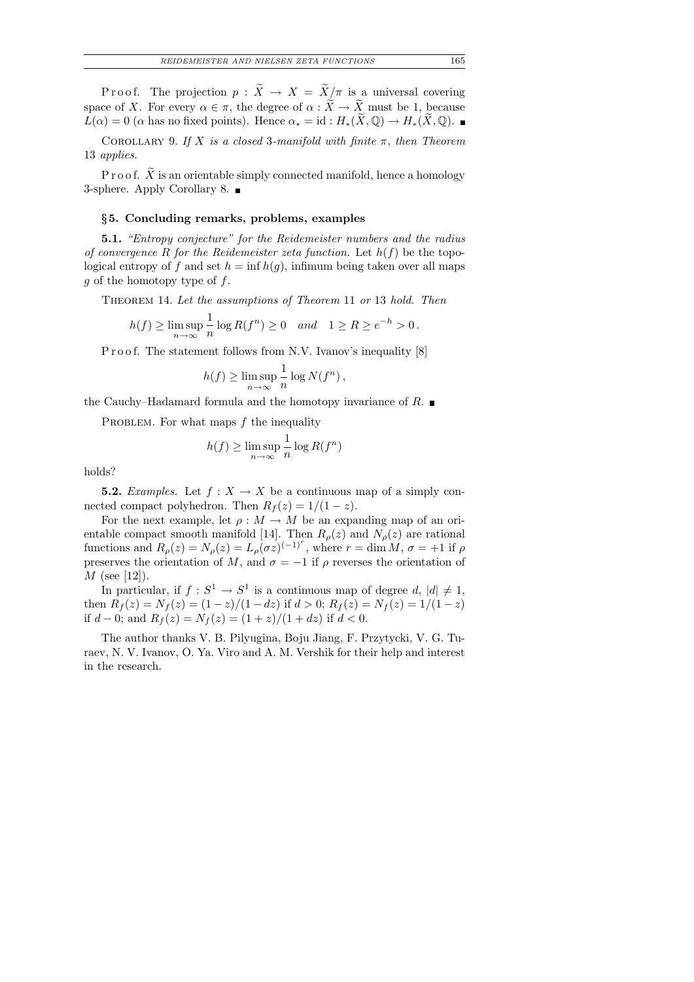P r o o f. The projection  $p : \tilde{X} \to X = \tilde{X}/\pi$  is a universal covering space of X. For every  $\alpha \in \pi$ , the degree of  $\alpha : \widetilde{X} \to \widetilde{X}$  must be 1, because  $L(\alpha) = 0$  ( $\alpha$  has no fixed points). Hence  $\alpha_* = id : H_*(\widetilde{X}, \mathbb{Q}) \to H_*(\widetilde{X}, \mathbb{Q})$ .

COROLLARY 9. If X is a closed 3-manifold with finite  $\pi$ , then Theorem 13 applies.

P r o o f.  $\overline{X}$  is an orientable simply connected manifold, hence a homology 3-sphere. Apply Corollary 8.

#### §5. Concluding remarks, problems, examples

5.1. "Entropy conjecture" for the Reidemeister numbers and the radius of convergence R for the Reidemeister zeta function. Let  $h(f)$  be the topological entropy of f and set  $h = \inf h(g)$ , infimum being taken over all maps  $q$  of the homotopy type of  $f$ .

Theorem 14. Let the assumptions of Theorem 11 or 13 hold. Then

$$
h(f) \ge \limsup_{n \to \infty} \frac{1}{n} \log R(f^n) \ge 0 \quad and \quad 1 \ge R \ge e^{-h} > 0.
$$

P r o o f. The statement follows from N.V. Ivanov's inequality [8]

$$
h(f) \ge \limsup_{n \to \infty} \frac{1}{n} \log N(f^n),
$$

the Cauchy–Hadamard formula and the homotopy invariance of R.  $\blacksquare$ 

PROBLEM. For what maps  $f$  the inequality

$$
h(f) \ge \limsup_{n \to \infty} \frac{1}{n} \log R(f^n)
$$

holds?

**5.2.** Examples. Let  $f : X \to X$  be a continuous map of a simply connected compact polyhedron. Then  $R_f(z) = 1/(1-z)$ .

For the next example, let  $\rho : M \to M$  be an expanding map of an orientable compact smooth manifold [14]. Then  $R_{\rho}(z)$  and  $N_{\rho}(z)$  are rational functions and  $R_{\rho}(z) = N_{\rho}(z) = L_{\rho}(\sigma z)^{(-1)^{r}}$ , where  $r = \dim M$ ,  $\sigma = +1$  if  $\rho$ preserves the orientation of M, and  $\sigma = -1$  if  $\rho$  reverses the orientation of  $M$  (see [12]).

In particular, if  $f: S^1 \to S^1$  is a continuous map of degree  $d, |d| \neq 1$ , then  $R_f(z) = N_f(z) = (1-z)/(1-dz)$  if  $d > 0$ ;  $R_f(z) = N_f(z) = 1/(1-z)$ if  $d - 0$ ; and  $R_f(z) = N_f(z) = (1 + z)/(1 + dz)$  if  $d < 0$ .

The author thanks V. B. Pilyugina, Boju Jiang, F. Przytycki, V. G. Turaev, N. V. Ivanov, O. Ya. Viro and A. M. Vershik for their help and interest in the research.